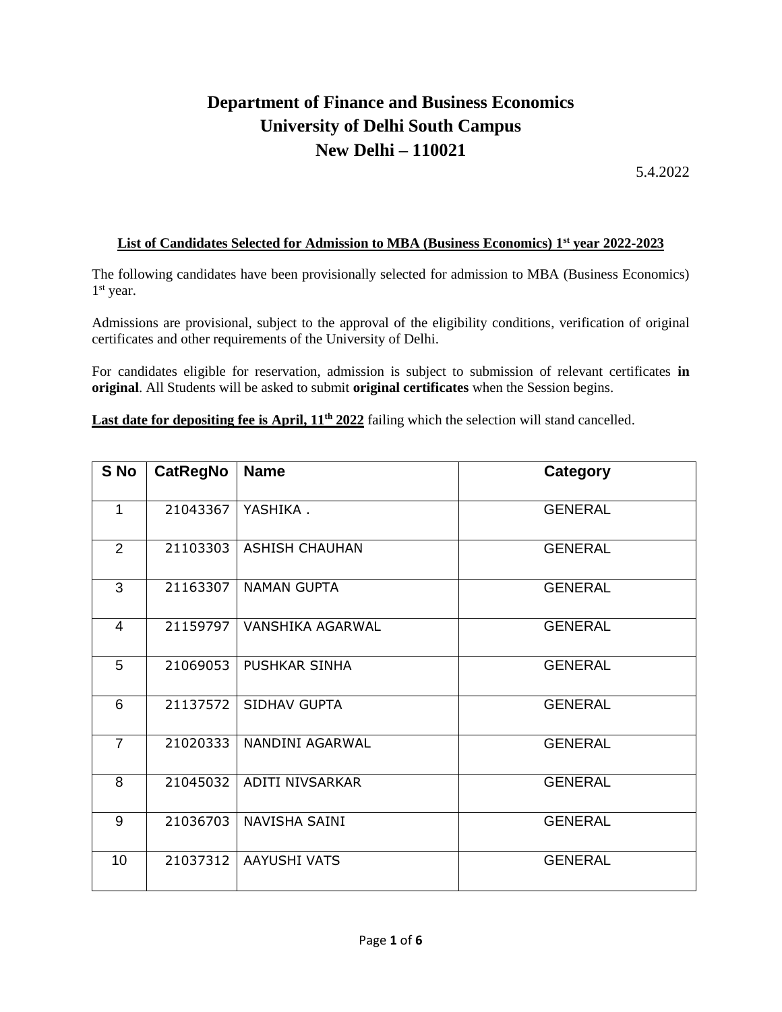## **Department of Finance and Business Economics University of Delhi South Campus New Delhi – 110021**

5.4.2022

## **List of Candidates Selected for Admission to MBA (Business Economics) 1st year 2022-2023**

The following candidates have been provisionally selected for admission to MBA (Business Economics) 1 st year.

Admissions are provisional, subject to the approval of the eligibility conditions, verification of original certificates and other requirements of the University of Delhi.

For candidates eligible for reservation, admission is subject to submission of relevant certificates **in original**. All Students will be asked to submit **original certificates** when the Session begins.

Last date for depositing fee is April,  $11<sup>th</sup> 2022$  failing which the selection will stand cancelled.

| S No           | <b>CatRegNo</b> | <b>Name</b>           | Category       |
|----------------|-----------------|-----------------------|----------------|
| 1              | 21043367        | YASHIKA.              | <b>GENERAL</b> |
| 2              | 21103303        | <b>ASHISH CHAUHAN</b> | <b>GENERAL</b> |
| 3              | 21163307        | <b>NAMAN GUPTA</b>    | <b>GENERAL</b> |
| $\overline{4}$ | 21159797        | VANSHIKA AGARWAL      | <b>GENERAL</b> |
| 5              | 21069053        | <b>PUSHKAR SINHA</b>  | <b>GENERAL</b> |
| 6              | 21137572        | SIDHAV GUPTA          | <b>GENERAL</b> |
| $\overline{7}$ | 21020333        | NANDINI AGARWAL       | <b>GENERAL</b> |
| 8              | 21045032        | ADITI NIVSARKAR       | <b>GENERAL</b> |
| 9              | 21036703        | NAVISHA SAINI         | <b>GENERAL</b> |
| 10             | 21037312        | AAYUSHI VATS          | <b>GENERAL</b> |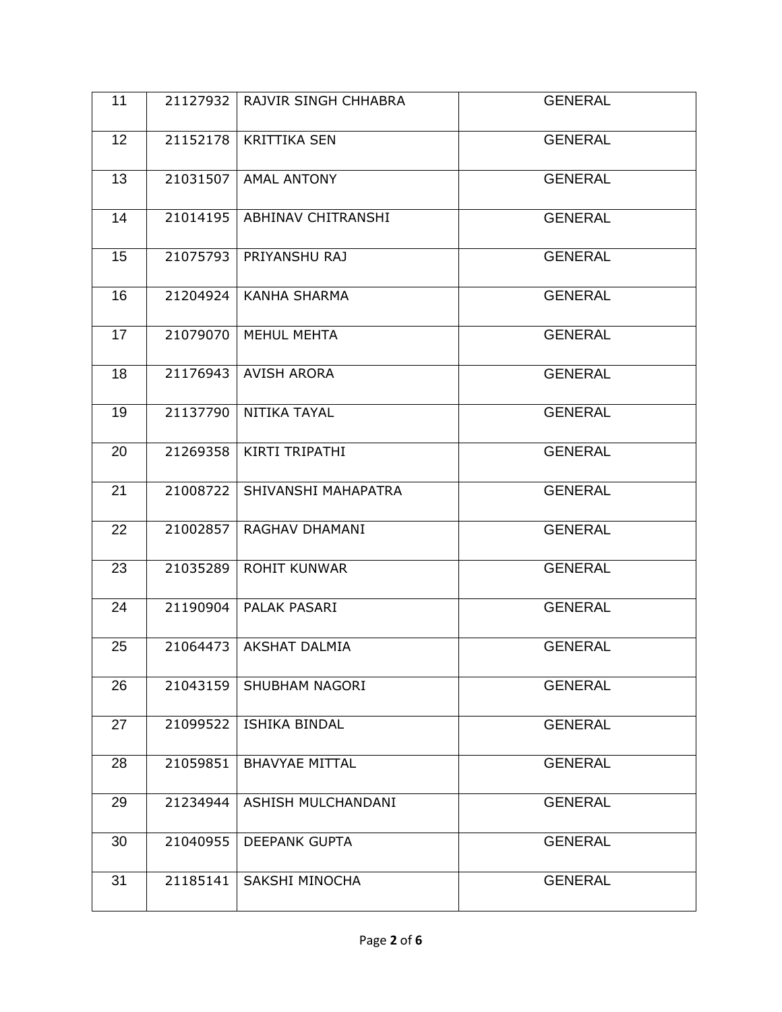| 11 | 21127932 | RAJVIR SINGH CHHABRA      | <b>GENERAL</b> |
|----|----------|---------------------------|----------------|
| 12 | 21152178 | <b>KRITTIKA SEN</b>       | <b>GENERAL</b> |
| 13 |          | 21031507   AMAL ANTONY    | <b>GENERAL</b> |
| 14 | 21014195 | <b>ABHINAV CHITRANSHI</b> | <b>GENERAL</b> |
| 15 | 21075793 | PRIYANSHU RAJ             | <b>GENERAL</b> |
| 16 | 21204924 | <b>KANHA SHARMA</b>       | <b>GENERAL</b> |
| 17 | 21079070 | MEHUL MEHTA               | <b>GENERAL</b> |
| 18 |          | 21176943   AVISH ARORA    | <b>GENERAL</b> |
| 19 | 21137790 | NITIKA TAYAL              | <b>GENERAL</b> |
| 20 | 21269358 | KIRTI TRIPATHI            | <b>GENERAL</b> |
| 21 | 21008722 | SHIVANSHI MAHAPATRA       | <b>GENERAL</b> |
| 22 | 21002857 | RAGHAV DHAMANI            | <b>GENERAL</b> |
| 23 | 21035289 | <b>ROHIT KUNWAR</b>       | <b>GENERAL</b> |
| 24 | 21190904 | PALAK PASARI              | <b>GENERAL</b> |
| 25 |          | 21064473 AKSHAT DALMIA    | <b>GENERAL</b> |
| 26 | 21043159 | SHUBHAM NAGORI            | <b>GENERAL</b> |
| 27 | 21099522 | ISHIKA BINDAL             | <b>GENERAL</b> |
| 28 | 21059851 | <b>BHAVYAE MITTAL</b>     | <b>GENERAL</b> |
| 29 | 21234944 | ASHISH MULCHANDANI        | <b>GENERAL</b> |
| 30 | 21040955 | DEEPANK GUPTA             | <b>GENERAL</b> |
| 31 | 21185141 | SAKSHI MINOCHA            | <b>GENERAL</b> |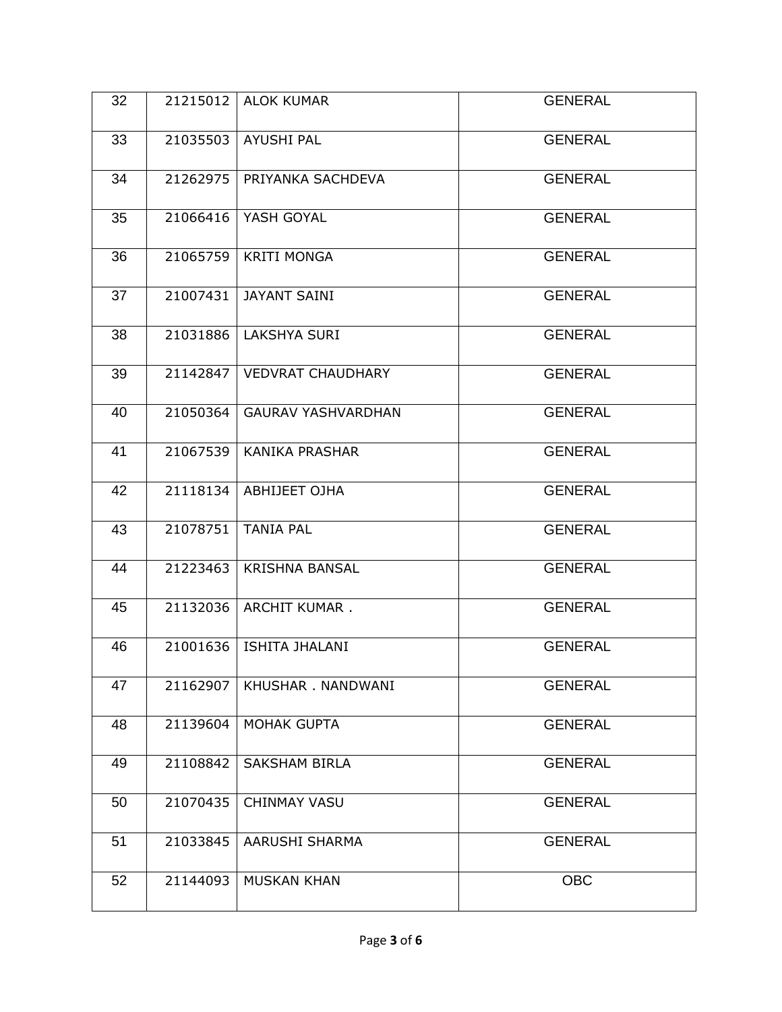| 32 | 21215012 | <b>ALOK KUMAR</b>            | <b>GENERAL</b> |
|----|----------|------------------------------|----------------|
| 33 |          | 21035503   AYUSHI PAL        | <b>GENERAL</b> |
| 34 | 21262975 | PRIYANKA SACHDEVA            | <b>GENERAL</b> |
| 35 |          | 21066416   YASH GOYAL        | <b>GENERAL</b> |
| 36 | 21065759 | <b>KRITI MONGA</b>           | <b>GENERAL</b> |
| 37 |          | 21007431   JAYANT SAINI      | <b>GENERAL</b> |
| 38 | 21031886 | LAKSHYA SURI                 | <b>GENERAL</b> |
| 39 |          | 21142847   VEDVRAT CHAUDHARY | <b>GENERAL</b> |
| 40 | 21050364 | <b>GAURAV YASHVARDHAN</b>    | <b>GENERAL</b> |
| 41 | 21067539 | <b>KANIKA PRASHAR</b>        | <b>GENERAL</b> |
| 42 | 21118134 | ABHIJEET OJHA                | <b>GENERAL</b> |
| 43 | 21078751 | <b>TANIA PAL</b>             | <b>GENERAL</b> |
| 44 | 21223463 | <b>KRISHNA BANSAL</b>        | <b>GENERAL</b> |
| 45 | 21132036 | <b>ARCHIT KUMAR.</b>         | <b>GENERAL</b> |
| 46 |          | 21001636   ISHITA JHALANI    | <b>GENERAL</b> |
| 47 | 21162907 | KHUSHAR. NANDWANI            | <b>GENERAL</b> |
| 48 | 21139604 | <b>MOHAK GUPTA</b>           | <b>GENERAL</b> |
| 49 | 21108842 | <b>SAKSHAM BIRLA</b>         | <b>GENERAL</b> |
| 50 | 21070435 | <b>CHINMAY VASU</b>          | <b>GENERAL</b> |
| 51 | 21033845 | AARUSHI SHARMA               | <b>GENERAL</b> |
| 52 | 21144093 | <b>MUSKAN KHAN</b>           | <b>OBC</b>     |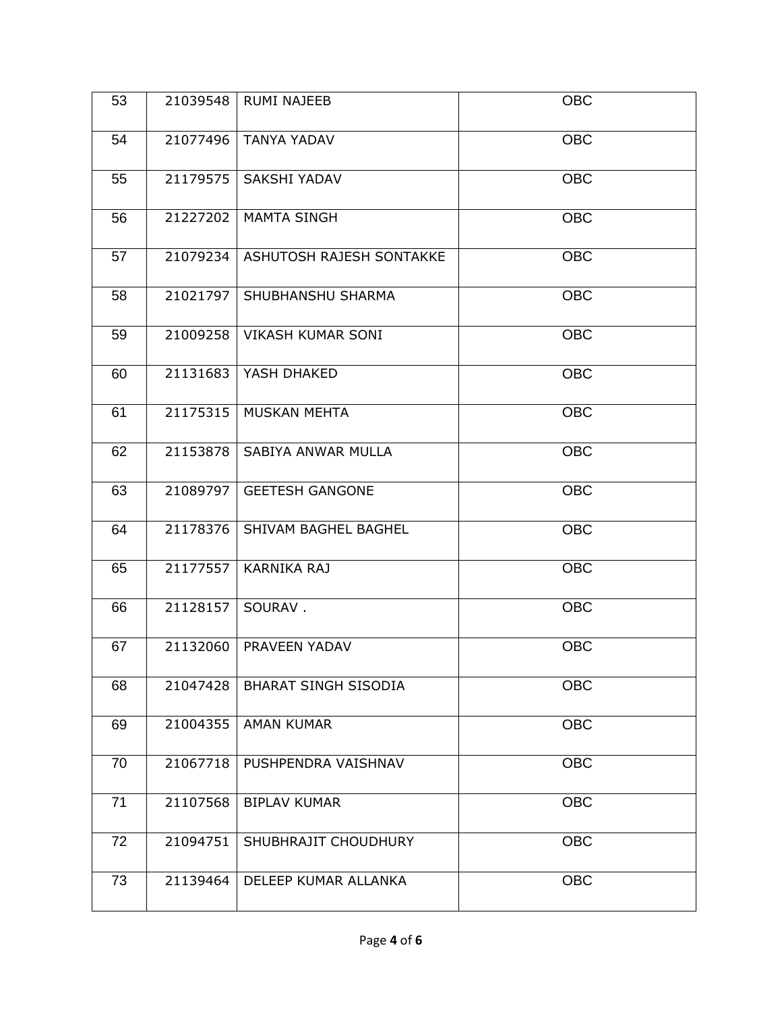| 53 | 21039548 | <b>RUMI NAJEEB</b>           | <b>OBC</b> |
|----|----------|------------------------------|------------|
| 54 |          | 21077496   TANYA YADAV       | <b>OBC</b> |
| 55 | 21179575 | <b>SAKSHI YADAV</b>          | <b>OBC</b> |
| 56 |          | 21227202   MAMTA SINGH       | <b>OBC</b> |
| 57 | 21079234 | ASHUTOSH RAJESH SONTAKKE     | <b>OBC</b> |
| 58 |          | 21021797   SHUBHANSHU SHARMA | <b>OBC</b> |
| 59 | 21009258 | <b>VIKASH KUMAR SONI</b>     | <b>OBC</b> |
| 60 |          | 21131683   YASH DHAKED       | <b>OBC</b> |
| 61 | 21175315 | MUSKAN MEHTA                 | <b>OBC</b> |
| 62 | 21153878 | SABIYA ANWAR MULLA           | <b>OBC</b> |
| 63 | 21089797 | <b>GEETESH GANGONE</b>       | <b>OBC</b> |
| 64 | 21178376 | SHIVAM BAGHEL BAGHEL         | <b>OBC</b> |
| 65 | 21177557 | <b>KARNIKA RAJ</b>           | <b>OBC</b> |
| 66 | 21128157 | SOURAV.                      | <b>OBC</b> |
| 67 |          | 21132060   PRAVEEN YADAV     | <b>OBC</b> |
| 68 | 21047428 | <b>BHARAT SINGH SISODIA</b>  | <b>OBC</b> |
| 69 | 21004355 | <b>AMAN KUMAR</b>            | <b>OBC</b> |
| 70 | 21067718 | PUSHPENDRA VAISHNAV          | <b>OBC</b> |
| 71 | 21107568 | <b>BIPLAV KUMAR</b>          | <b>OBC</b> |
| 72 | 21094751 | SHUBHRAJIT CHOUDHURY         | OBC        |
| 73 | 21139464 | DELEEP KUMAR ALLANKA         | <b>OBC</b> |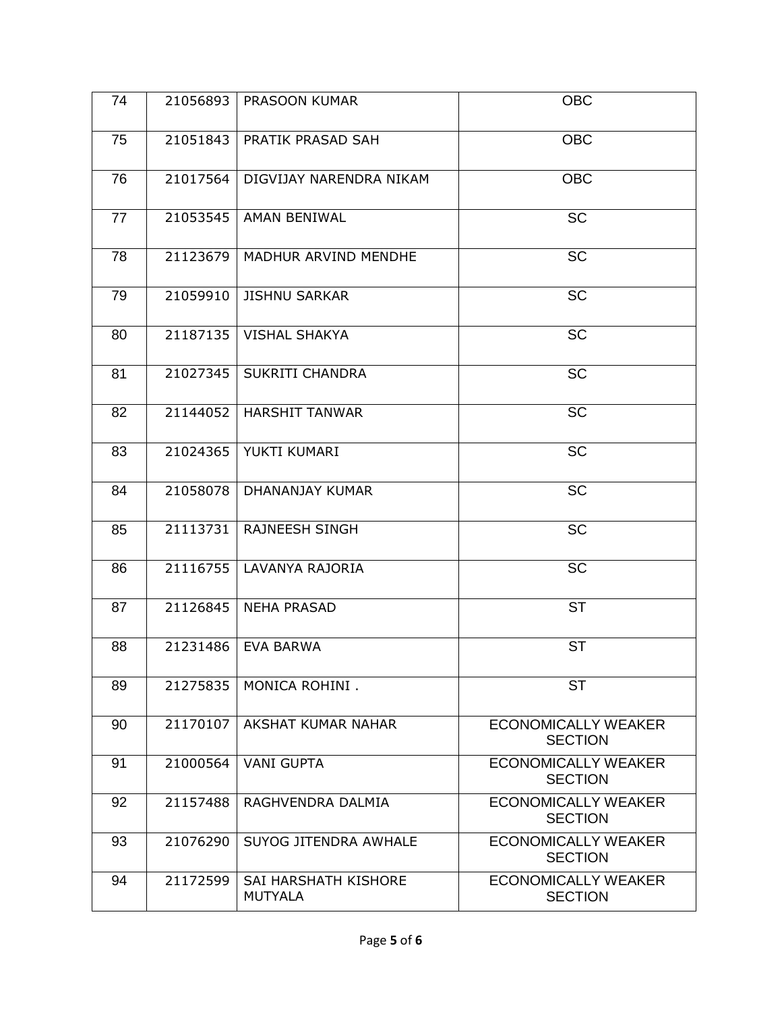| 74 |          | 21056893   PRASOON KUMAR        | <b>OBC</b>                                   |
|----|----------|---------------------------------|----------------------------------------------|
| 75 |          | 21051843   PRATIK PRASAD SAH    | <b>OBC</b>                                   |
| 76 | 21017564 | DIGVIJAY NARENDRA NIKAM         | <b>OBC</b>                                   |
| 77 |          | 21053545   AMAN BENIWAL         | <b>SC</b>                                    |
| 78 | 21123679 | MADHUR ARVIND MENDHE            | <b>SC</b>                                    |
| 79 | 21059910 | <b>JISHNU SARKAR</b>            | <b>SC</b>                                    |
| 80 |          | 21187135   VISHAL SHAKYA        | <b>SC</b>                                    |
| 81 |          | 21027345   SUKRITI CHANDRA      | <b>SC</b>                                    |
| 82 |          | 21144052   HARSHIT TANWAR       | <b>SC</b>                                    |
| 83 |          | 21024365   YUKTI KUMARI         | <b>SC</b>                                    |
| 84 | 21058078 | DHANANJAY KUMAR                 | <b>SC</b>                                    |
| 85 | 21113731 | <b>RAJNEESH SINGH</b>           | <b>SC</b>                                    |
| 86 |          | 21116755   LAVANYA RAJORIA      | <b>SC</b>                                    |
| 87 | 21126845 | <b>NEHA PRASAD</b>              | <b>ST</b>                                    |
| 88 |          | 21231486   EVA BARWA            | <b>ST</b>                                    |
| 89 | 21275835 | MONICA ROHINI.                  | <b>ST</b>                                    |
| 90 | 21170107 | AKSHAT KUMAR NAHAR              | <b>ECONOMICALLY WEAKER</b><br><b>SECTION</b> |
| 91 | 21000564 | <b>VANI GUPTA</b>               | <b>ECONOMICALLY WEAKER</b><br><b>SECTION</b> |
| 92 | 21157488 | RAGHVENDRA DALMIA               | <b>ECONOMICALLY WEAKER</b><br><b>SECTION</b> |
| 93 | 21076290 | SUYOG JITENDRA AWHALE           | <b>ECONOMICALLY WEAKER</b><br><b>SECTION</b> |
| 94 | 21172599 | SAI HARSHATH KISHORE<br>MUTYALA | <b>ECONOMICALLY WEAKER</b><br><b>SECTION</b> |